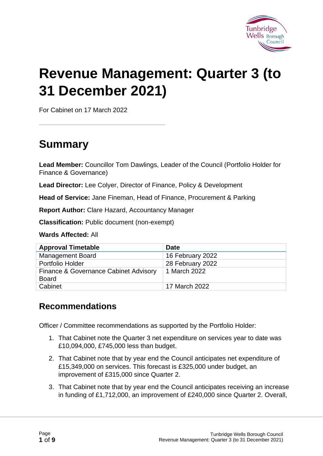

# **Revenue Management: Quarter 3 (to 31 December 2021)**

For Cabinet on 17 March 2022

# **Summary**

**Lead Member:** Councillor Tom Dawlings, Leader of the Council (Portfolio Holder for Finance & Governance)

**Lead Director:** Lee Colyer, Director of Finance, Policy & Development

**Head of Service:** Jane Fineman, Head of Finance, Procurement & Parking

**Report Author:** Clare Hazard, Accountancy Manager

**Classification:** Public document (non-exempt)

**Wards Affected:** All

| <b>Approval Timetable</b>                             | <b>Date</b>      |
|-------------------------------------------------------|------------------|
| <b>Management Board</b>                               | 16 February 2022 |
| Portfolio Holder                                      | 28 February 2022 |
| Finance & Governance Cabinet Advisory<br><b>Board</b> | 1 March 2022     |
| Cabinet                                               | 17 March 2022    |

#### **Recommendations**

Officer / Committee recommendations as supported by the Portfolio Holder:

- 1. That Cabinet note the Quarter 3 net expenditure on services year to date was £10,094,000, £745,000 less than budget.
- 2. That Cabinet note that by year end the Council anticipates net expenditure of £15,349,000 on services. This forecast is £325,000 under budget, an improvement of £315,000 since Quarter 2.
- 3. That Cabinet note that by year end the Council anticipates receiving an increase in funding of £1,712,000, an improvement of £240,000 since Quarter 2. Overall,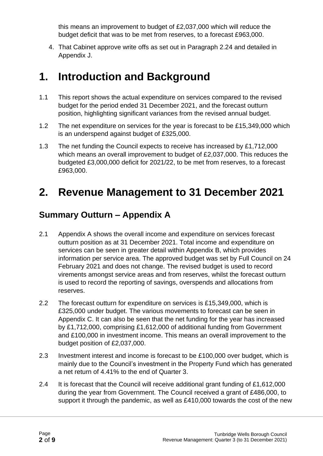this means an improvement to budget of £2,037,000 which will reduce the budget deficit that was to be met from reserves, to a forecast £963,000.

4. That Cabinet approve write offs as set out in Paragraph 2.24 and detailed in Appendix J.

# **1. Introduction and Background**

- 1.1 This report shows the actual expenditure on services compared to the revised budget for the period ended 31 December 2021, and the forecast outturn position, highlighting significant variances from the revised annual budget.
- 1.2 The net expenditure on services for the year is forecast to be £15,349,000 which is an underspend against budget of £325,000.
- 1.3 The net funding the Council expects to receive has increased by £1,712,000 which means an overall improvement to budget of £2,037,000. This reduces the budgeted £3,000,000 deficit for 2021/22, to be met from reserves, to a forecast £963,000.

# **2. Revenue Management to 31 December 2021**

#### **Summary Outturn – Appendix A**

- 2.1 Appendix A shows the overall income and expenditure on services forecast outturn position as at 31 December 2021. Total income and expenditure on services can be seen in greater detail within Appendix B, which provides information per service area. The approved budget was set by Full Council on 24 February 2021 and does not change. The revised budget is used to record virements amongst service areas and from reserves, whilst the forecast outturn is used to record the reporting of savings, overspends and allocations from reserves.
- 2.2 The forecast outturn for expenditure on services is £15,349,000, which is £325,000 under budget. The various movements to forecast can be seen in Appendix C. It can also be seen that the net funding for the year has increased by £1,712,000, comprising £1,612,000 of additional funding from Government and £100,000 in investment income. This means an overall improvement to the budget position of £2,037,000.
- 2.3 Investment interest and income is forecast to be £100,000 over budget, which is mainly due to the Council's investment in the Property Fund which has generated a net return of 4.41% to the end of Quarter 3.
- 2.4 It is forecast that the Council will receive additional grant funding of £1,612,000 during the year from Government. The Council received a grant of £486,000, to support it through the pandemic, as well as £410,000 towards the cost of the new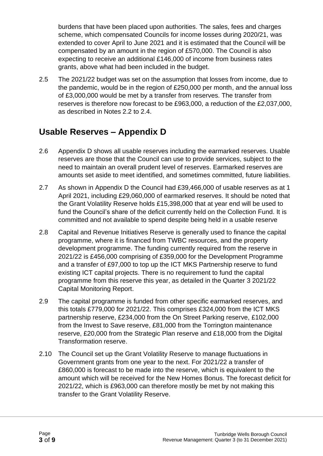burdens that have been placed upon authorities. The sales, fees and charges scheme, which compensated Councils for income losses during 2020/21, was extended to cover April to June 2021 and it is estimated that the Council will be compensated by an amount in the region of £570,000. The Council is also expecting to receive an additional £146,000 of income from business rates grants, above what had been included in the budget.

2.5 The 2021/22 budget was set on the assumption that losses from income, due to the pandemic, would be in the region of £250,000 per month, and the annual loss of £3,000,000 would be met by a transfer from reserves. The transfer from reserves is therefore now forecast to be £963,000, a reduction of the £2,037,000, as described in Notes 2.2 to 2.4.

#### **Usable Reserves – Appendix D**

- 2.6 Appendix D shows all usable reserves including the earmarked reserves. Usable reserves are those that the Council can use to provide services, subject to the need to maintain an overall prudent level of reserves. Earmarked reserves are amounts set aside to meet identified, and sometimes committed, future liabilities.
- 2.7 As shown in Appendix D the Council had £39,466,000 of usable reserves as at 1 April 2021, including £29,060,000 of earmarked reserves. It should be noted that the Grant Volatility Reserve holds £15,398,000 that at year end will be used to fund the Council's share of the deficit currently held on the Collection Fund. It is committed and not available to spend despite being held in a usable reserve
- 2.8 Capital and Revenue Initiatives Reserve is generally used to finance the capital programme, where it is financed from TWBC resources, and the property development programme. The funding currently required from the reserve in 2021/22 is £456,000 comprising of £359,000 for the Development Programme and a transfer of £97,000 to top up the ICT MKS Partnership reserve to fund existing ICT capital projects. There is no requirement to fund the capital programme from this reserve this year, as detailed in the Quarter 3 2021/22 Capital Monitoring Report.
- 2.9 The capital programme is funded from other specific earmarked reserves, and this totals £779,000 for 2021/22. This comprises £324,000 from the ICT MKS partnership reserve, £234,000 from the On Street Parking reserve, £102,000 from the Invest to Save reserve, £81,000 from the Torrington maintenance reserve, £20,000 from the Strategic Plan reserve and £18,000 from the Digital Transformation reserve.
- 2.10 The Council set up the Grant Volatility Reserve to manage fluctuations in Government grants from one year to the next. For 2021/22 a transfer of £860,000 is forecast to be made into the reserve, which is equivalent to the amount which will be received for the New Homes Bonus. The forecast deficit for 2021/22, which is £963,000 can therefore mostly be met by not making this transfer to the Grant Volatility Reserve.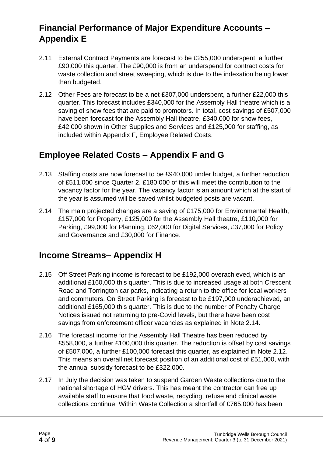# **Financial Performance of Major Expenditure Accounts – Appendix E**

- 2.11 External Contract Payments are forecast to be £255,000 underspent, a further £90,000 this quarter. The £90,000 is from an underspend for contract costs for waste collection and street sweeping, which is due to the indexation being lower than budgeted.
- 2.12 Other Fees are forecast to be a net £307,000 underspent, a further £22,000 this quarter. This forecast includes £340,000 for the Assembly Hall theatre which is a saving of show fees that are paid to promotors. In total, cost savings of £507,000 have been forecast for the Assembly Hall theatre, £340,000 for show fees, £42,000 shown in Other Supplies and Services and £125,000 for staffing, as included within Appendix F, Employee Related Costs.

### **Employee Related Costs – Appendix F and G**

- 2.13 Staffing costs are now forecast to be £940,000 under budget, a further reduction of £511,000 since Quarter 2. £180,000 of this will meet the contribution to the vacancy factor for the year. The vacancy factor is an amount which at the start of the year is assumed will be saved whilst budgeted posts are vacant.
- 2.14 The main projected changes are a saving of £175,000 for Environmental Health, £157,000 for Property, £125,000 for the Assembly Hall theatre, £110,000 for Parking, £99,000 for Planning, £62,000 for Digital Services, £37,000 for Policy and Governance and £30,000 for Finance.

### **Income Streams– Appendix H**

- 2.15 Off Street Parking income is forecast to be £192,000 overachieved, which is an additional £160,000 this quarter. This is due to increased usage at both Crescent Road and Torrington car parks, indicating a return to the office for local workers and commuters. On Street Parking is forecast to be £197,000 underachieved, an additional £165,000 this quarter. This is due to the number of Penalty Charge Notices issued not returning to pre-Covid levels, but there have been cost savings from enforcement officer vacancies as explained in Note 2.14.
- 2.16 The forecast income for the Assembly Hall Theatre has been reduced by £558,000, a further £100,000 this quarter. The reduction is offset by cost savings of £507,000, a further £100,000 forecast this quarter, as explained in Note 2.12. This means an overall net forecast position of an additional cost of £51,000, with the annual subsidy forecast to be £322,000.
- 2.17 In July the decision was taken to suspend Garden Waste collections due to the national shortage of HGV drivers. This has meant the contractor can free up available staff to ensure that food waste, recycling, refuse and clinical waste collections continue. Within Waste Collection a shortfall of £765,000 has been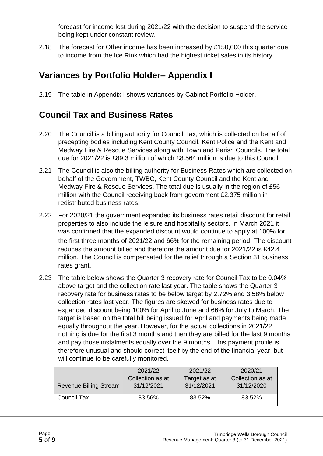forecast for income lost during 2021/22 with the decision to suspend the service being kept under constant review.

2.18 The forecast for Other income has been increased by £150,000 this quarter due to income from the Ice Rink which had the highest ticket sales in its history.

#### **Variances by Portfolio Holder– Appendix I**

2.19 The table in Appendix I shows variances by Cabinet Portfolio Holder.

#### **Council Tax and Business Rates**

- 2.20 The Council is a billing authority for Council Tax, which is collected on behalf of precepting bodies including Kent County Council, Kent Police and the Kent and Medway Fire & Rescue Services along with Town and Parish Councils. The total due for 2021/22 is £89.3 million of which £8.564 million is due to this Council.
- 2.21 The Council is also the billing authority for Business Rates which are collected on behalf of the Government, TWBC, Kent County Council and the Kent and Medway Fire & Rescue Services. The total due is usually in the region of £56 million with the Council receiving back from government £2.375 million in redistributed business rates.
- 2.22 For 2020/21 the government expanded its business rates retail discount for retail properties to also include the leisure and hospitality sectors. In March 2021 it was confirmed that the expanded discount would continue to apply at 100% for the first three months of 2021/22 and 66% for the remaining period. The discount reduces the amount billed and therefore the amount due for 2021/22 is £42.4 million. The Council is compensated for the relief through a Section 31 business rates grant.
- 2.23 The table below shows the Quarter 3 recovery rate for Council Tax to be 0.04% above target and the collection rate last year. The table shows the Quarter 3 recovery rate for business rates to be below target by 2.72% and 3.58% below collection rates last year. The figures are skewed for business rates due to expanded discount being 100% for April to June and 66% for July to March. The target is based on the total bill being issued for April and payments being made equally throughout the year. However, for the actual collections in 2021/22 nothing is due for the first 3 months and then they are billed for the last 9 months and pay those instalments equally over the 9 months. This payment profile is therefore unusual and should correct itself by the end of the financial year, but will continue to be carefully monitored.

| <b>Revenue Billing Stream</b> | 2021/22          | 2021/22      | 2020/21          |
|-------------------------------|------------------|--------------|------------------|
|                               | Collection as at | Target as at | Collection as at |
|                               | 31/12/2021       | 31/12/2021   | 31/12/2020       |
| Council Tax                   | 83.56%           | 83.52%       | 83.52%           |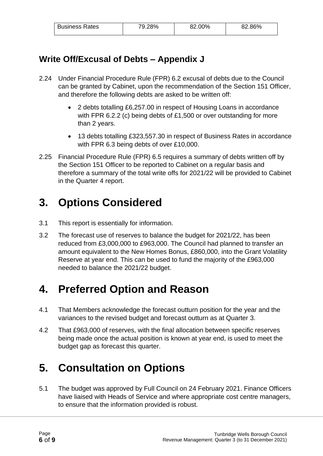| <b>Business Rates</b> | 79.28% | 82.00% | 82.86% |
|-----------------------|--------|--------|--------|
|                       |        |        |        |

#### **Write Off/Excusal of Debts – Appendix J**

- 2.24 Under Financial Procedure Rule (FPR) 6.2 excusal of debts due to the Council can be granted by Cabinet, upon the recommendation of the Section 151 Officer, and therefore the following debts are asked to be written off:
	- 2 debts totalling £6,257.00 in respect of Housing Loans in accordance with FPR 6.2.2 (c) being debts of £1,500 or over outstanding for more than 2 years.
	- 13 debts totalling £323,557.30 in respect of Business Rates in accordance with FPR 6.3 being debts of over £10,000.
- 2.25 Financial Procedure Rule (FPR) 6.5 requires a summary of debts written off by the Section 151 Officer to be reported to Cabinet on a regular basis and therefore a summary of the total write offs for 2021/22 will be provided to Cabinet in the Quarter 4 report.

# **3. Options Considered**

- 3.1 This report is essentially for information.
- 3.2 The forecast use of reserves to balance the budget for 2021/22, has been reduced from £3,000,000 to £963,000. The Council had planned to transfer an amount equivalent to the New Homes Bonus, £860,000, into the Grant Volatility Reserve at year end. This can be used to fund the majority of the £963,000 needed to balance the 2021/22 budget.

# **4. Preferred Option and Reason**

- 4.1 That Members acknowledge the forecast outturn position for the year and the variances to the revised budget and forecast outturn as at Quarter 3.
- 4.2 That £963,000 of reserves, with the final allocation between specific reserves being made once the actual position is known at year end, is used to meet the budget gap as forecast this quarter.

# **5. Consultation on Options**

5.1 The budget was approved by Full Council on 24 February 2021. Finance Officers have liaised with Heads of Service and where appropriate cost centre managers, to ensure that the information provided is robust.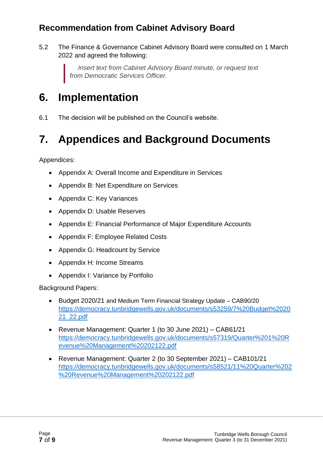# **Recommendation from Cabinet Advisory Board**

5.2 The Finance & Governance Cabinet Advisory Board were consulted on 1 March 2022 and agreed the following:

> *Insert text from Cabinet Advisory Board minute, or request text from Democratic Services Officer.*

# **6. Implementation**

6.1 The decision will be published on the Council's website.

# **7. Appendices and Background Documents**

Appendices:

- Appendix A: Overall Income and Expenditure in Services
- Appendix B: Net Expenditure on Services
- Appendix C: Key Variances
- Appendix D: Usable Reserves
- Appendix E: Financial Performance of Major Expenditure Accounts
- Appendix F: Employee Related Costs
- Appendix G: Headcount by Service
- Appendix H: Income Streams
- Appendix I: Variance by Portfolio

Background Papers:

- Budget 2020/21 and Medium Term Financial Strategy Update CAB90/20 [https://democracy.tunbridgewells.gov.uk/documents/s53259/7%20Budget%2020](https://democracy.tunbridgewells.gov.uk/documents/s53259/7%20Budget%202021_22.pdf) [21\\_22.pdf](https://democracy.tunbridgewells.gov.uk/documents/s53259/7%20Budget%202021_22.pdf)
- Revenue Management: Quarter 1 (to 30 June 2021) CAB61/21 [https://democracy.tunbridgewells.gov.uk/documents/s57319/Quarter%201%20R](https://democracy.tunbridgewells.gov.uk/documents/s57319/Quarter%201%20Revenue%20Management%20202122.pdf) [evenue%20Management%20202122.pdf](https://democracy.tunbridgewells.gov.uk/documents/s57319/Quarter%201%20Revenue%20Management%20202122.pdf)
- Revenue Management: Quarter 2 (to 30 September 2021) CAB101/21 [https://democracy.tunbridgewells.gov.uk/documents/s58521/11%20Quarter%202](https://democracy.tunbridgewells.gov.uk/documents/s58521/11%20Quarter%202%20Revenue%20Management%20202122.pdf) [%20Revenue%20Management%20202122.pdf](https://democracy.tunbridgewells.gov.uk/documents/s58521/11%20Quarter%202%20Revenue%20Management%20202122.pdf)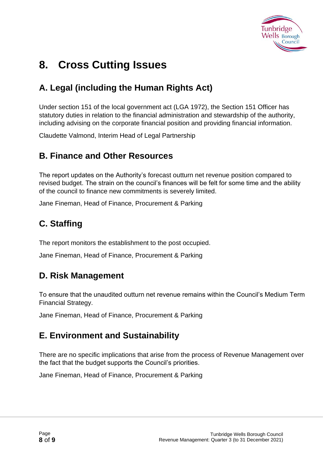

# **8. Cross Cutting Issues**

# **A. Legal (including the Human Rights Act)**

Under section 151 of the local government act (LGA 1972), the Section 151 Officer has statutory duties in relation to the financial administration and stewardship of the authority, including advising on the corporate financial position and providing financial information.

Claudette Valmond, Interim Head of Legal Partnership

#### **B. Finance and Other Resources**

The report updates on the Authority's forecast outturn net revenue position compared to revised budget. The strain on the council's finances will be felt for some time and the ability of the council to finance new commitments is severely limited.

Jane Fineman, Head of Finance, Procurement & Parking

# **C. Staffing**

The report monitors the establishment to the post occupied.

Jane Fineman, Head of Finance, Procurement & Parking

#### **D. Risk Management**

To ensure that the unaudited outturn net revenue remains within the Council's Medium Term Financial Strategy.

Jane Fineman, Head of Finance, Procurement & Parking

### **E. Environment and Sustainability**

There are no specific implications that arise from the process of Revenue Management over the fact that the budget supports the Council's priorities.

Jane Fineman, Head of Finance, Procurement & Parking